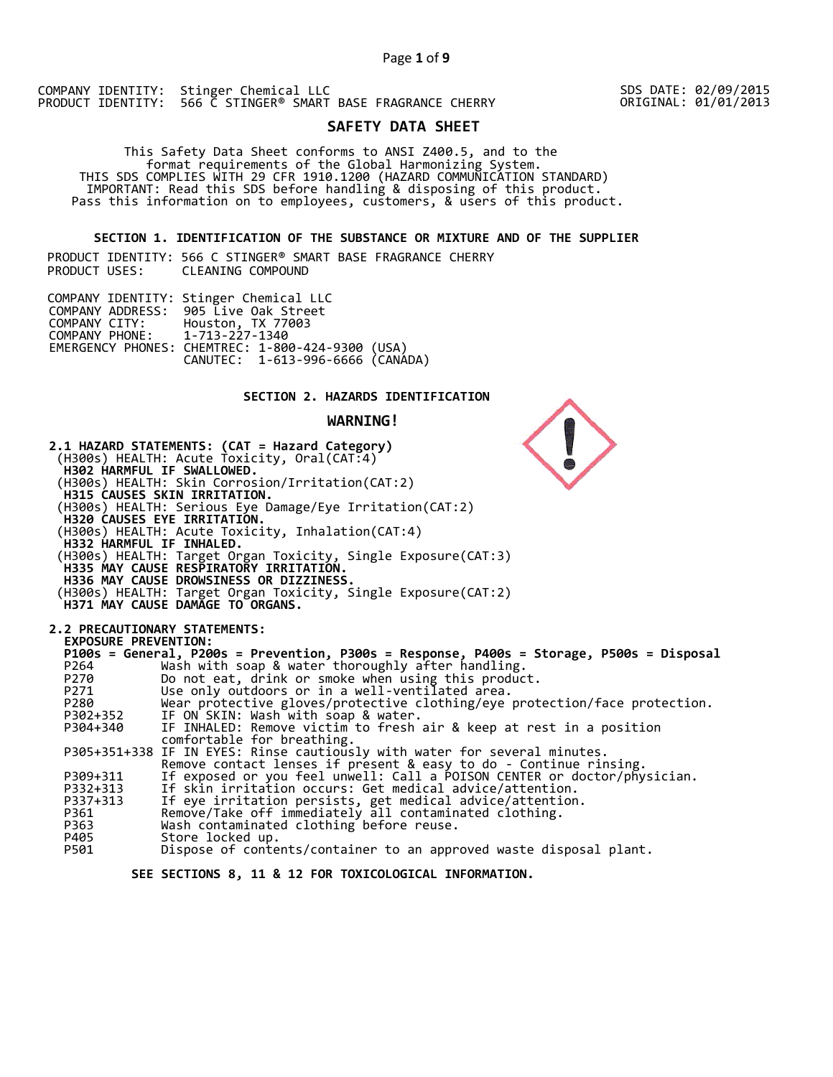## **SAFETY DATA SHEET**

 This Safety Data Sheet conforms to ANSI Z400.5, and to the format requirements of the Global Harmonizing System. THIS SDS COMPLIES WITH 29 CFR 1910.1200 (HAZARD COMMUNICATION STANDARD) IMPORTANT: Read this SDS before handling & disposing of this product. Pass this information on to employees, customers, & users of this product.

## **SECTION 1. IDENTIFICATION OF THE SUBSTANCE OR MIXTURE AND OF THE SUPPLIER**

PRODUCT IDENTITY: 566 C STINGER® SMART BASE FRAGRANCE CHERRY CLEANING COMPOUND

|                               | COMPANY IDENTITY: Stinger Chemical LLC                                               |  |
|-------------------------------|--------------------------------------------------------------------------------------|--|
|                               | COMPANY ADDRESS: 905 Live Oak Street                                                 |  |
|                               | COMPANY CITY: Houston, TX 77003                                                      |  |
| COMPANY PHONE: 1-713-227-1340 |                                                                                      |  |
|                               |                                                                                      |  |
|                               | EMERGENCY PHONES: CHEMTREC: 1-800-424-9300 (USA)<br>CANUTEC: 1-613-996-6666 (CANADA) |  |

## **SECTION 2. HAZARDS IDENTIFICATION**

## **WARNING!**



Dispose of contents/container to an approved waste disposal plant.

 **SEE SECTIONS 8, 11 & 12 FOR TOXICOLOGICAL INFORMATION.** 

SDS DATE: 02/09/2015 ORIGINAL: 01/01/2013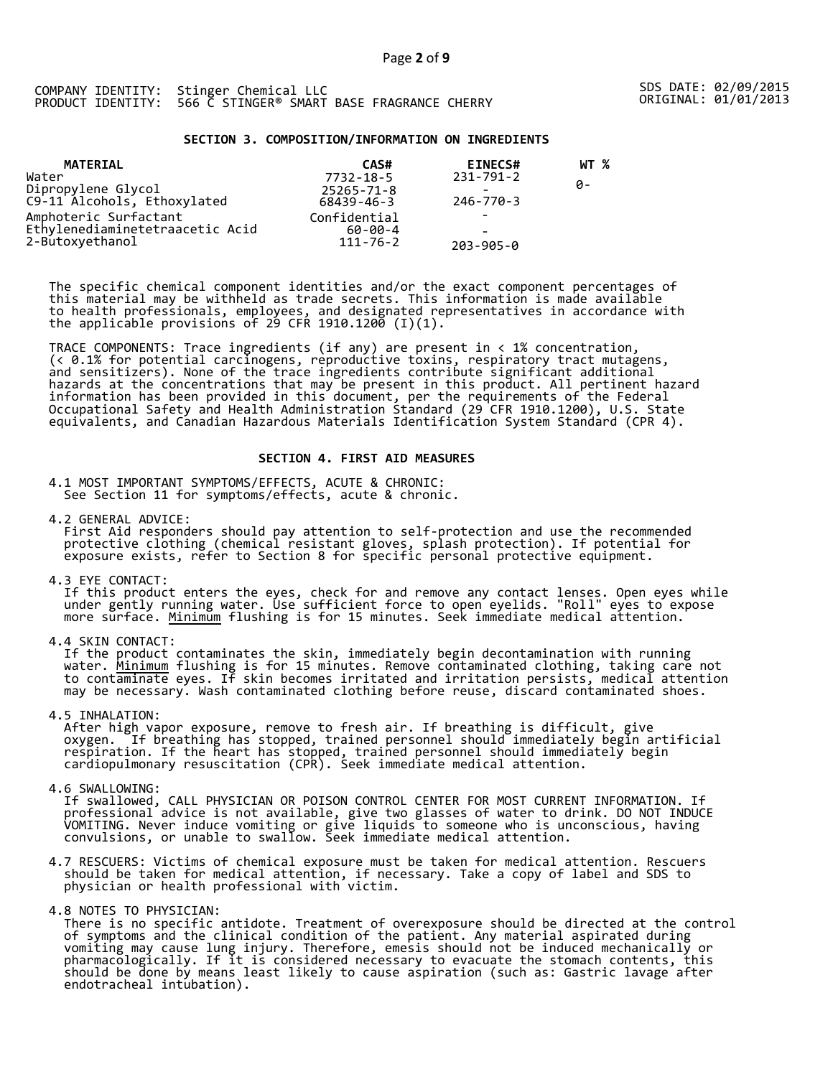## **SECTION 3. COMPOSITION/INFORMATION ON INGREDIENTS**

| <b>MATERIAL</b>                                   | CAS#             | <b>EINECS#</b>  | WT % |
|---------------------------------------------------|------------------|-----------------|------|
| Water                                             | 7732-18-5        | $231 - 791 - 2$ |      |
| Dipropylene Glycol<br>C9-11 Alcohols, Ethoxylated | $25265 - 71 - 8$ |                 | ø-   |
|                                                   | 68439-46-3       | 246-770-3       |      |
| Amphoteric Surfactant                             | Confidential     |                 |      |
| Ethylenediaminetetraacetic Acid                   | $60 - 00 - 4$    | -               |      |
| 2-Butoxyethanol                                   | $111 - 76 - 2$   | $203 - 905 - 0$ |      |

The specific chemical component identities and/or the exact component percentages of this material may be withheld as trade secrets. This information is made available to health professionals, employees, and designated representatives in accordance with the applicable provisions of 29 CFR 1910.1200̄ (I)(1).  $\overline{\phantom{a}}$ 

TRACE COMPONENTS: Trace ingredients (if any) are present in < 1% concentration, (< 0.1% for potential carcinogens, reproductive toxins, respiratory tract mutagens, and sensitizers). None of the trace ingredients contribute significant additional hazards at the concentrations that may be present in this product. All pertinent hazard information has been provided in this document, per the requirements of the Federal Occupational Safety and Health Administration Standard (29 CFR 1910.1200), U.S. State equivalents, and Canadian Hazardous Materials Identification System Standard (CPR 4).

## **SECTION 4. FIRST AID MEASURES**

4.1 MOST IMPORTANT SYMPTOMS/EFFECTS, ACUTE & CHRONIC: See Section 11 for symptoms/effects, acute & chronic.

4.2 GENERAL ADVICE: First Aid responders should pay attention to self-protection and use the recommended protective clothing (chemical resistant gloves, splash protection). If potential for exposure exists, refer to Section 8 for specific personal protective equipment.

4.3 EYE CONTACT:

 If this product enters the eyes, check for and remove any contact lenses. Open eyes while under gently running water. Use sufficient force to open eyelids. "Roll" eyes to expose more surface. <u>Minimum</u> flushing is for 15 minutes. Seek immediate medical attention.

4.4 SKIN CONTACT:

 If the product contaminates the skin, immediately begin decontamination with running water. <u>Minimum</u> flushing is for 15 minutes. Remove contaminated clothing, taking care not to contaminate eyes. If skin becomes irritated and irritation persists, medical attention may be necessary. Wash contaminated clothing before reuse, discard contaminated shoes.

4.5 INHALATION:

 After high vapor exposure, remove to fresh air. If breathing is difficult, give oxygen. If breathing has stopped, trained personnel should immediately begin artificial respiration. If the heart has stopped, trained personnel should immediately begin cardiopulmonary resuscitation (CPR). Seek immediate medical attention.

4.6 SWALLOWING:

 If swallowed, CALL PHYSICIAN OR POISON CONTROL CENTER FOR MOST CURRENT INFORMATION. If professional advice is not available, give two glasses of water to drink. DO NOT INDUCE VOMITING. Never induce vomiting or give liquids to someone who is unconscious, having convulsions, or unable to swallow. Seek immediate medical attention.

- 4.7 RESCUERS: Victims of chemical exposure must be taken for medical attention. Rescuers should be taken for medical attention, if necessary. Take a copy of label and SDS to physician or health professional with victim.
- 4.8 NOTES TO PHYSICIAN:

 There is no specific antidote. Treatment of overexposure should be directed at the control of symptoms and the clinical condition of the patient. Any material aspirated during vomiting may cause lung injury. Therefore, emesis should not be induced mechanically or pharmacologically. If it is considered necessary to evacuate the stomach contents, this should be done by means least likely to cause aspiration (such as: Gastric lavage after endotracheal intubation).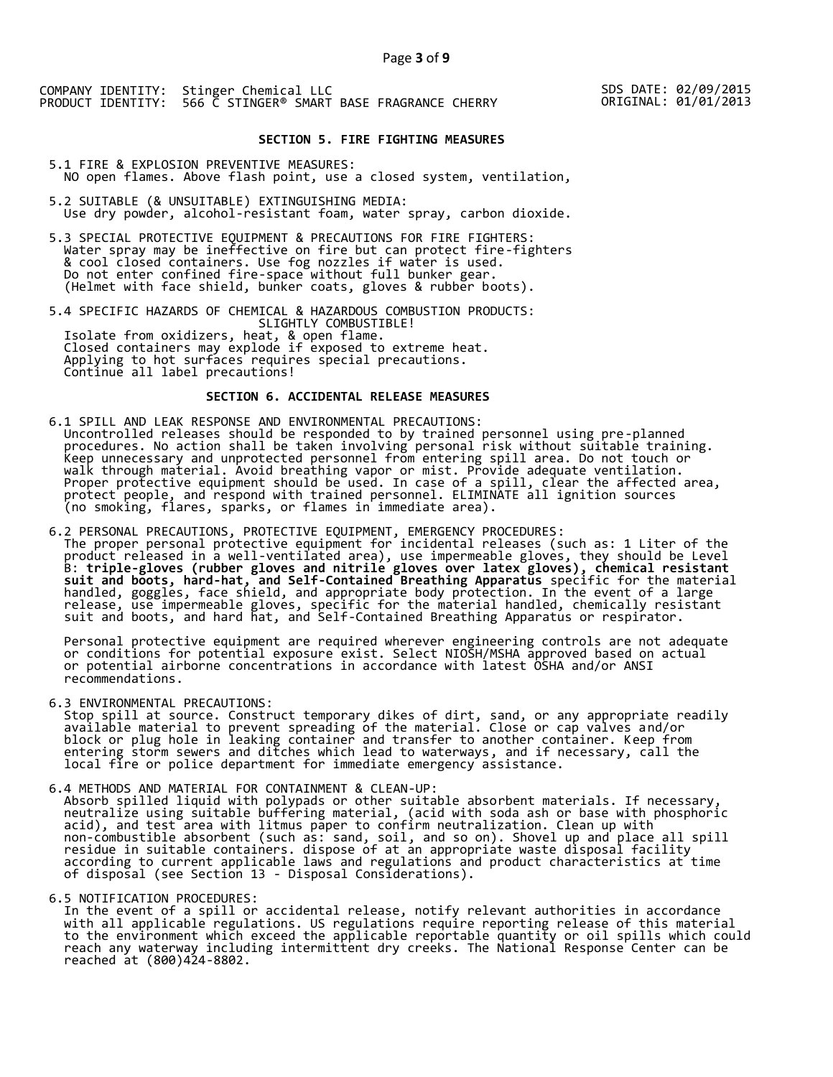## SDS DATE: 02/09/2015 ORIGINAL: 01/01/2013

## **SECTION 5. FIRE FIGHTING MEASURES**

5.1 FIRE & EXPLOSION PREVENTIVE MEASURES: NO open flames. Above flash point, use a closed system, ventilation,

- 5.2 SUITABLE (& UNSUITABLE) EXTINGUISHING MEDIA: Use dry powder, alcohol-resistant foam, water spray, carbon dioxide.
- 5.3 SPECIAL PROTECTIVE EQUIPMENT & PRECAUTIONS FOR FIRE FIGHTERS: Water spray may be ineffective on fire but can protect fire-fighters & cool closed containers. Use fog nozzles if water is used. Do not enter confined fire-space without full bunker gear. (Helmet with face shield, bunker coats, gloves & rubber boots).

5.4 SPECIFIC HAZARDS OF CHEMICAL & HAZARDOUS COMBUSTION PRODUCTS: SLIGHTLY COMBUSTIBLE! Isolate from oxidizers, heat, & open flame. Closed containers may explode if exposed to extreme heat. Applying to hot surfaces requires special precautions. Continue all label precautions!

## **SECTION 6. ACCIDENTAL RELEASE MEASURES**

- 6.1 SPILL AND LEAK RESPONSE AND ENVIRONMENTAL PRECAUTIONS: Uncontrolled releases should be responded to by trained personnel using pre-planned procedures. No action shall be taken involving personal risk without suitable training. Keep unnecessary and unprotected personnel from entering spill area. Do not touch or walk through material. Avoid breathing vapor or mist. Provide adequate ventilation. Proper protective equipment should be used. In case of a spill, clear the affected area, protect people, and respond with trained personnel. ELIMINATE all ignition sources (no smoking, flares, sparks, or flames in immediate area).
- 6.2 PERSONAL PRECAUTIONS, PROTECTIVE EQUIPMENT, EMERGENCY PROCEDURES: The proper personal protective equipment for incidental releases (such as: 1 Liter of the product released in a well-ventilated area), use impermeable gloves, they should be Level B: **triple-gloves (rubber gloves and nitrile gloves over latex gloves), chemical resistant suit and boots, hard-hat, and Self-Contained Breathing Apparatus** specific for the material handled, goggles, face shield, and appropriate body protection. In the event of a large release, use impermeable gloves, specific for the material handled, chemically resistant suit and boots, and hard hat, and Self-Contained Breathing Apparatus or respirator.

 Personal protective equipment are required wherever engineering controls are not adequate or conditions for potential exposure exist. Select NIOSH/MSHA approved based on actual or potential airborne concentrations in accordance with latest OSHA and/or ANSI recommendations.

6.3 ENVIRONMENTAL PRECAUTIONS:

 Stop spill at source. Construct temporary dikes of dirt, sand, or any appropriate readily available material to prevent spreading of the material. Close or cap valves and/or block or plug hole in leaking container and transfer to another container. Keep from entering storm sewers and ditches which lead to waterways, and if necessary, call the local fire or police department for immediate emergency assistance.

6.4 METHODS AND MATERIAL FOR CONTAINMENT & CLEAN-UP: Absorb spilled liquid with polypads or other suitable absorbent materials. If necessary, neutralize using suitable buffering material, (acid with soda ash or base with phosphoric acid), and test area with litmus paper to confirm neutralization. Clean up with non-combustible absorbent (such as: sand, soil, and so on). Shovel up and place all spill residue in suitable containers. dispose of at an appropriate waste disposal facility according to current applicable laws and regulations and product characteristics at time of disposal (see Section 13 - Disposal Considerations).

6.5 NOTIFICATION PROCEDURES:

 In the event of a spill or accidental release, notify relevant authorities in accordance with all applicable regulations. US regulations require reporting release of this material to the environment which exceed the applicable reportable quantity or oil spills which could reach any waterway including intermittent dry creeks. The National Response Center can be reached at (800)424-8802.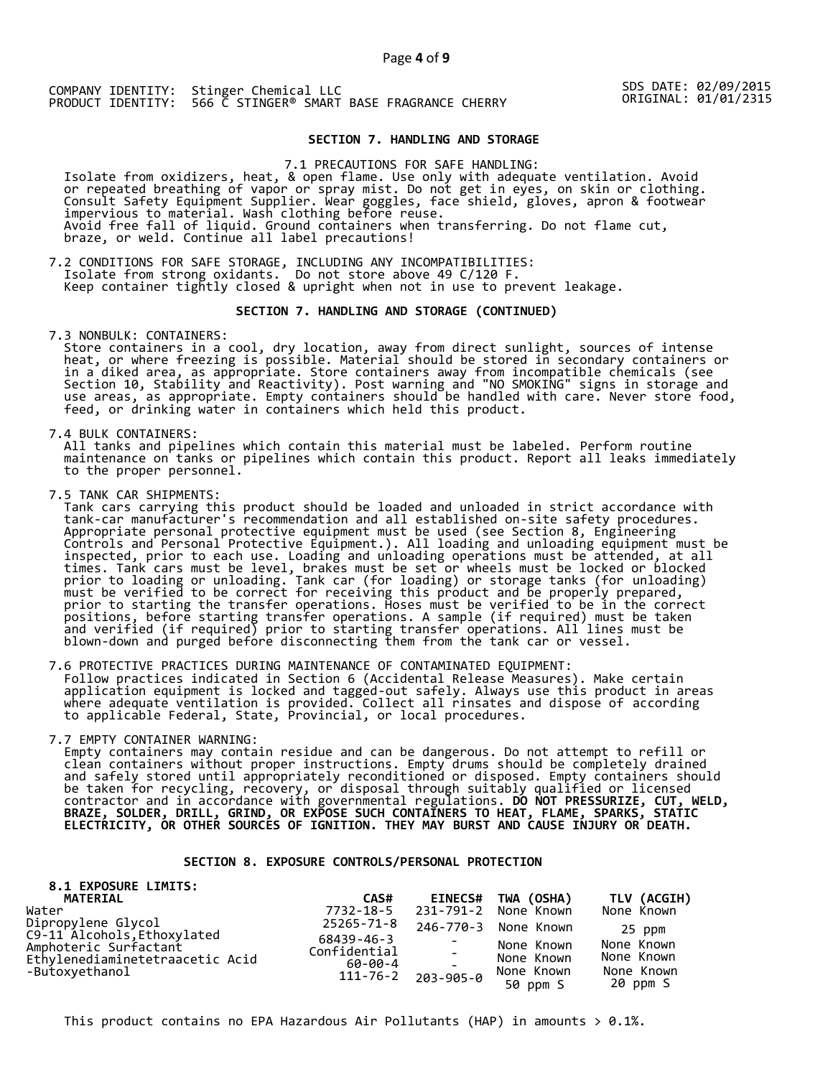SDS DATE: 02/09/2015<br>ORIGINAL: 01/01/2315

## **SECTION 7. HANDLING AND STORAGE**

7.1 PRECAUTIONS FOR SAFE HANDLING: Isolate from oxidizers, heat, & open flame. Use only with adequate ventilation. Avoid or repeated breathing of vapor or spray mist. Do not get in eyes, on skin or clothing. Consult Safety Equipment Supplier. Wear goggles, face shield, gloves, apron & footwear impervious to material. Wash clothing before reuse. Avoid free fall of liquid. Ground containers when transferring. Do not flame cut, braze, or weld. Continue all label precautions!

7.2 CONDITIONS FOR SAFE STORAGE, INCLUDING ANY INCOMPATIBILITIES: Isolate from strong oxidants. Do not store above 49 C/120 F. Keep container tightly closed & upright when not in use to prevent leakage.

#### **SECTION 7. HANDLING AND STORAGE (CONTINUED)**

7.3 NONBULK: CONTAINERS:

 Store containers in a cool, dry location, away from direct sunlight, sources of intense heat, or where freezing is possible. Material should be stored in secondary containers or in a diked area, as appropriate. Store containers away from incompatible chemicals (see Section 10, Stability and Reactivity). Post warning and "NO SMOKING" signs in storage and use areas, as appropriate. Empty containers should be handled with care. Never store food, feed, or drinking water in containers which held this product.

7.4 BULK CONTAINERS:

 All tanks and pipelines which contain this material must be labeled. Perform routine maintenance on tanks or pipelines which contain this product. Report all leaks immediately to the proper personnel.

7.5 TANK CAR SHIPMENTS:

Tank cars carrying this product should be loaded and unloaded in strict accordance with<br>tank-car manufacturer's recommendation and all established on-site safety procedures. tank-car manufacturer's recommendation and all established on-site safety procedures. Appropriate personal protective equipment must be used (see Section 8, Engineering Controls and Personal Protective Equipment.). All loading and unloading equipment must be inspected, prior to each use. Loading and unloading operations must be attended, at all times. Tank cars must be level, brakes must be set or wheels must be locked or blocked prior to loading or unloading. Tank car (for loading) or storage tanks (for unloading) must be verified to be correct for receiving this product and be properly prepared, prior to starting the transfer operations. Hoses must be verified to be in the correct positions, before starting transfer operations. A sample (if required) must be taken and verified (if required) prior to starting transfer operations. All lines must be blown-down and purged before disconnecting them from the tank car or vessel.

7.6 PROTECTIVE PRACTICES DURING MAINTENANCE OF CONTAMINATED EQUIPMENT: Follow practices indicated in Section 6 (Accidental Release Measures). Make certain application equipment is locked and tagged-out safely. Always use this product in areas where adequate ventilation is provided. Collect all rinsates and dispose of according to applicable Federal, State, Provincial, or local procedures.

7.7 EMPTY CONTAINER WARNING:

 Empty containers may contain residue and can be dangerous. Do not attempt to refill or clean containers without proper instructions. Empty drums should be completely drained and safely stored until appropriately reconditioned or disposed. Empty containers should be taken for recycling, recovery, or disposal through suitably qualified or licensed contractor and in accordance with governmental regulations. **DO NOT PRESSURIZE, CUT, WELD, BRAZE, SOLDER, DRILL, GRIND, OR EXPOSE SUCH CONTAINERS TO HEAT, FLAME, SPARKS, STATIC ELECTRICITY, OR OTHER SOURCES OF IGNITION. THEY MAY BURST AND CAUSE INJURY OR DEATH.**

## **SECTION 8. EXPOSURE CONTROLS/PERSONAL PROTECTION**

| 8.1 EXPOSURE LIMITS:<br>MATERIAL                  | CAS#                       | <b>EINECS#</b> | TWA (OSHA)             | TLV (ACGIH)            |
|---------------------------------------------------|----------------------------|----------------|------------------------|------------------------|
| Water                                             | 7732-18-5                  |                | 231-791-2 None Known   | None Known             |
| Dipropylene Glycol<br>C9-11 Alcohols, Ethoxylated | 25265-71-8                 |                | 246-770-3 None Known   | 25 ppm                 |
| Amphoteric Surfactant                             | 68439-46-3<br>Confidential |                | None Known             | None Known             |
| Ethylenediaminetetraacetic Acid                   | 60-00-4                    |                | None Known             | None Known             |
| -Butoxyethanol                                    | $111 - 76 - 2$             | 203-905-0      | None Known<br>50 ppm S | None Known<br>20 ppm S |

This product contains no EPA Hazardous Air Pollutants (HAP) in amounts  $> 0.1\%$ .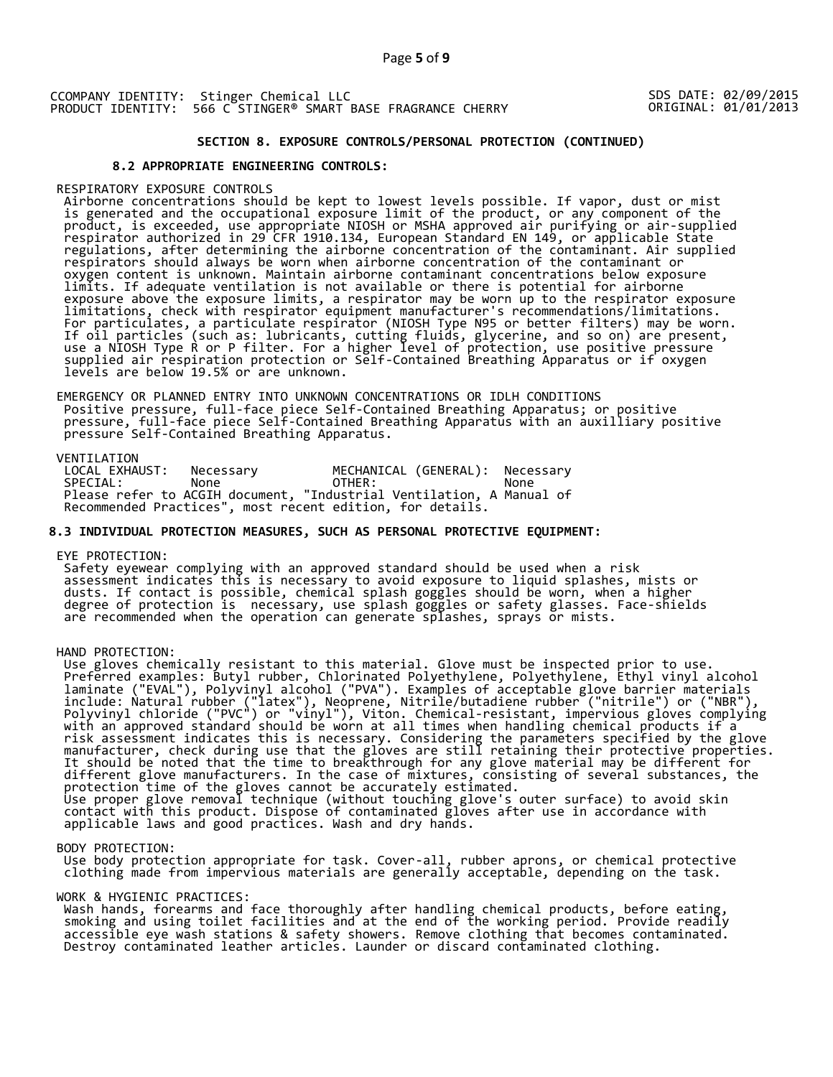SDS DATE: 02/09/2015 ORIGINAL: 01/01/2013

## **SECTION 8. EXPOSURE CONTROLS/PERSONAL PROTECTION (CONTINUED)**

## **8.2 APPROPRIATE ENGINEERING CONTROLS:**

#### RESPIRATORY EXPOSURE CONTROLS

 Airborne concentrations should be kept to lowest levels possible. If vapor, dust or mist is generated and the occupational exposure limit of the product, or any component of the product, is exceeded, use appropriate NIOSH or MSHA approved air purifying or air-supplied respirator authorized in 29 CFR 1910.134, European Standard EN 149, or applicable State regulations, after determining the airborne concentration of the contaminant. Air supplied respirators should always be worn when airborne concentration of the contaminant or oxygen content is unknown. Maintain airborne contaminant concentrations below exposure limits. If adequate ventilation is not available or there is potential for airborne exposure above the exposure limits, a respirator may be worn up to the respirator exposure limitations, check with respirator equipment manufacturer's recommendations/limitations. For particulates, a particulate respirator (NIOSH Type N95 or better filters) may be worn. If oil particles (such as: lubricants, cutting fluids, glycerine, and so on) are present, use a NIOSH Type R or P filter. For a higher level of protection, use positive pressure supplied air respiration protection or Self-Contained Breathing Apparatus or if oxygen levels are below 19.5% or are unknown.

 EMERGENCY OR PLANNED ENTRY INTO UNKNOWN CONCENTRATIONS OR IDLH CONDITIONS Positive pressure, full-face piece Self-Contained Breathing Apparatus; or positive pressure, full-face piece Self-Contained Breathing Apparatus with an auxilliary positive pressure Self-Contained Breathing Apparatus.

VENTILATION<br>LOCAL EXHAUST: LOCAL EXHAUST: Necessary MECHANICAL (GENERAL): Necessary SPECIAL: None OTHER: None Please refer to ACGIH document, "Industrial Ventilation, A Manual of Recommended Practices", most recent edition, for details.

## **8.3 INDIVIDUAL PROTECTION MEASURES, SUCH AS PERSONAL PROTECTIVE EQUIPMENT:**

#### EYE PROTECTION:

 Safety eyewear complying with an approved standard should be used when a risk assessment indicates this is necessary to avoid exposure to liquid splashes, mists or dusts. If contact is possible, chemical splash goggles should be worn, when a higher degree of protection is necessary, use splash goggles or safety glasses. Face-shields are recommended when the operation can generate splashes, sprays or mists.

#### HAND PROTECTION:

 Use gloves chemically resistant to this material. Glove must be inspected prior to use. Preferred examples: Butyl rubber, Chlorinated Polyethylene, Polyethylene, Ethyl vinyl alcohol laminate ("EVAL"), Polyvinyl alcohol ("PVA"). Examples of acceptable glove barrier materials include: Natural rubber ("latex"), Neoprene, Nitrile/butadiene rubber ("nitrile") or ("NBR"), Polyvinyl chloride ("PVC") or "vinyl"), Viton. Chemical-resistant, impervious gloves complying with an approved standard should be worn at all times when handling chemical products if a risk assessment indicates this is necessary. Considering the parameters specified by the glove manufacturer, check during use that the gloves are still retaining their protective properties. It should be noted that the time to breakthrough for any glove material may be different for different glove manufacturers. In the case of mixtures, consisting of several substances, the protection time of the gloves cannot be accurately estimated. Use proper glove removal technique (without touching glove's outer surface) to avoid skin contact with this product. Dispose of contaminated gloves after use in accordance with applicable laws and good practices. Wash and dry hands.

#### BODY PROTECTION:

 Use body protection appropriate for task. Cover-all, rubber aprons, or chemical protective clothing made from impervious materials are generally acceptable, depending on the task.

#### WORK & HYGIENIC PRACTICES:

 Wash hands, forearms and face thoroughly after handling chemical products, before eating, smoking and using toilet facilities and at the end of the working period. Provide readily accessible eye wash stations & safety showers. Remove clothing that becomes contaminated. Destroy contaminated leather articles. Launder or discard contaminated clothing.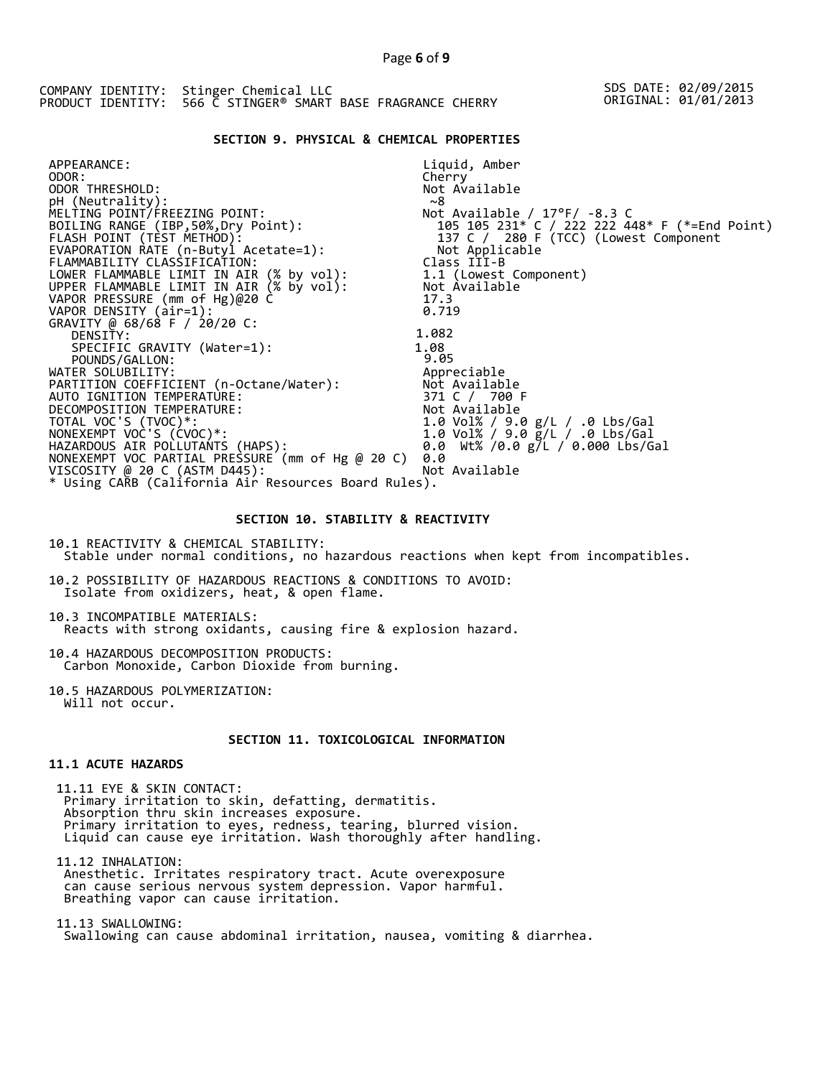## **SECTION 9. PHYSICAL & CHEMICAL PROPERTIES**

| APPEARANCE:                                          | Liquid, Amber                                 |
|------------------------------------------------------|-----------------------------------------------|
| ODOR:                                                | Cherry                                        |
| ODOR THRESHOLD:                                      | Not Available                                 |
| pH (Neutrality):                                     | ~8                                            |
| MELTING POINT/FREEZING POINT:                        | Not Available / $17^{\circ}$ F/ -8.3 C        |
| BOILING RANGE (IBP, 50%, Dry Point):                 | 105 105 231* C / 222 222 448* F (*=End Point) |
| FLASH POINT (TEST METHOD):                           | 137 C / 280 F (TCC) (Lowest Component         |
| EVAPORATION RATE (n-Butyl Acetate=1):                | Not Applicable                                |
| FLAMMABILITY CLASSIFICATION:                         | Class III-B                                   |
| LOWER FLAMMABLE LIMIT IN AIR (% by vol):             | 1.1 (Lowest Component)                        |
| UPPER FLAMMABLE LIMIT IN AIR (% by vol):             | Not Available                                 |
| VAPOR PRESSURE (mm of Hg)@20 C                       | 17.3                                          |
| VAPOR DENSITY (air=1):                               | 0.719                                         |
| GRAVITY @ 68/68 F / 20/20 C:                         |                                               |
| DENSITY:                                             | 1.082                                         |
| SPECIFIC GRAVITY (Water=1):                          | 1.08                                          |
| POUNDS/GALLON:                                       | 9.05                                          |
| WATER SOLUBILITY:                                    | Appreciable                                   |
| PARTITION COEFFICIENT (n-Octane/Water):              | Not Available                                 |
| AUTO IGNITION TEMPERATURE:                           | 371 C / 700 F                                 |
| DECOMPOSITION TEMPERATURE:                           | Not Available                                 |
| TOTAL VOC'S (TVOC)*:                                 | 1.0 Vol% / 9.0 g/L / .0 Lbs/Gal               |
| NONEXEMPT VOC'S (CVOC)*:                             | 1.0 Vol% / 9.0 g/L / .0 Lbs/Gal               |
| HAZARDOUS AIR POLLUTANTS (HAPS):                     | 0.0 Wt% /0.0 g/L / 0.000 Lbs/Gal              |
| NONEXEMPT VOC PARTIAL PRESSURE (mm of Hg @ 20 C)     | 0.0                                           |
| VISCOSITY @ 20 C (ASTM D445):                        | Not Available                                 |
| * Using CARB (California Air Resources Board Rules). |                                               |

## **SECTION 10. STABILITY & REACTIVITY**

10.1 REACTIVITY & CHEMICAL STABILITY: Stable under normal conditions, no hazardous reactions when kept from incompatibles.

10.2 POSSIBILITY OF HAZARDOUS REACTIONS & CONDITIONS TO AVOID: Isolate from oxidizers, heat, & open flame.

10.3 INCOMPATIBLE MATERIALS: Reacts with strong oxidants, causing fire & explosion hazard.

10.4 HAZARDOUS DECOMPOSITION PRODUCTS: Carbon Monoxide, Carbon Dioxide from burning.

10.5 HAZARDOUS POLYMERIZATION: Will not occur.

## **SECTION 11. TOXICOLOGICAL INFORMATION**

## **11.1 ACUTE HAZARDS**

 11.11 EYE & SKIN CONTACT: Primary irritation to skin, defatting, dermatitis. Absorption thru skin increases exposure. Primary irritation to eyes, redness, tearing, blurred vision. Liquid can cause eye irritation. Wash thoroughly after handling.

 11.12 INHALATION: Anesthetic. Irritates respiratory tract. Acute overexposure can cause serious nervous system depression. Vapor harmful. Breathing vapor can cause irritation.

 11.13 SWALLOWING: Swallowing can cause abdominal irritation, nausea, vomiting & diarrhea.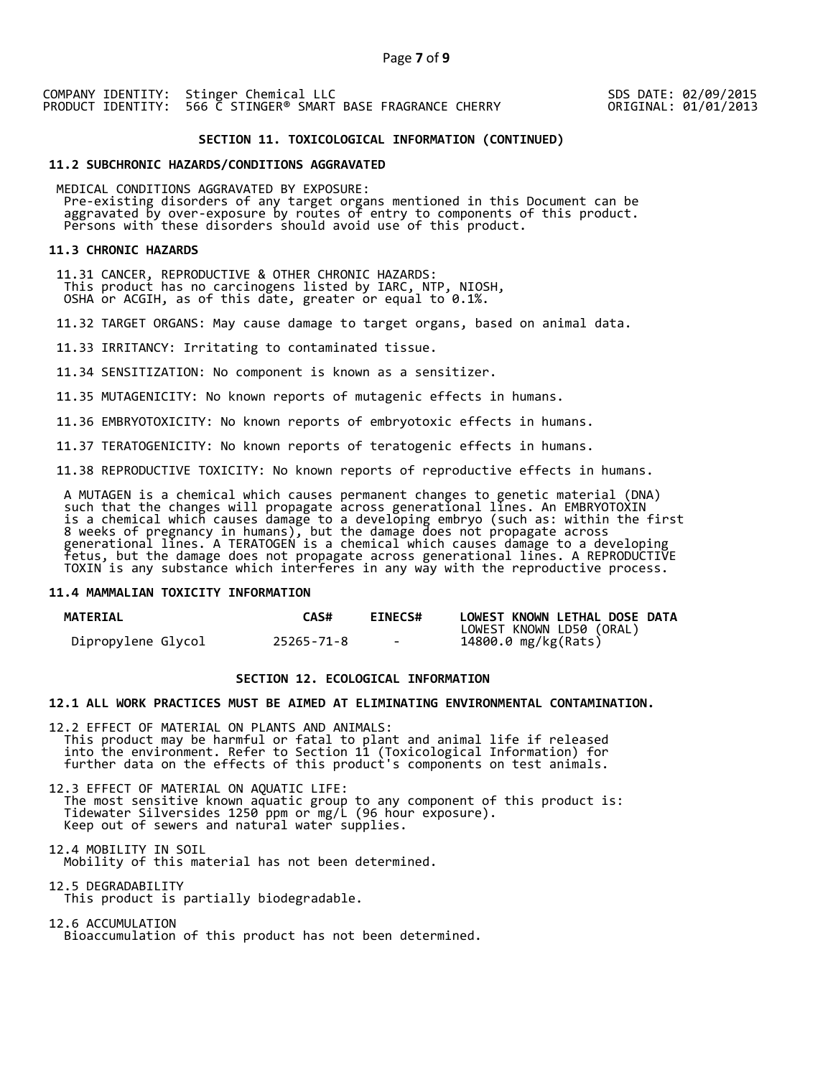SDS DATE: 02/09/2015 ORIGINAL: 01/01/2013

## **SECTION 11. TOXICOLOGICAL INFORMATION (CONTINUED)**

#### **11.2 SUBCHRONIC HAZARDS/CONDITIONS AGGRAVATED**

 MEDICAL CONDITIONS AGGRAVATED BY EXPOSURE: Pre-existing disorders of any target organs mentioned in this Document can be aggravated by over-exposure by routes of entry to components of this product. Persons with these disorders should avoid use of this product.

#### **11.3 CHRONIC HAZARDS**

 11.31 CANCER, REPRODUCTIVE & OTHER CHRONIC HAZARDS: This product has no carcinogens listed by IARC, NTP, NIOSH, OSHA or ACGIH, as of this date, greater or equal to 0.1%.

11.32 TARGET ORGANS: May cause damage to target organs, based on animal data.

11.33 IRRITANCY: Irritating to contaminated tissue.

11.34 SENSITIZATION: No component is known as a sensitizer.

11.35 MUTAGENICITY: No known reports of mutagenic effects in humans.

11.36 EMBRYOTOXICITY: No known reports of embryotoxic effects in humans.

11.37 TERATOGENICITY: No known reports of teratogenic effects in humans.

11.38 REPRODUCTIVE TOXICITY: No known reports of reproductive effects in humans.

 A MUTAGEN is a chemical which causes permanent changes to genetic material (DNA) such that the changes will propagate across generational lines. An EMBRYOTOXIN is a chemical which causes damage to a developing embryo (such as: within the first 8 weeks of pregnancy in humans), but the damage does not propagate across generational lines. A TERATOGEN is a chemical which causes damage to a developing fetus, but the damage does not propagate across generational lines. A REPRODUCTIVE TOXIN is any substance which interferes in any way with the reproductive process.

#### **11.4 MAMMALIAN TOXICITY INFORMATION**

| <b>MATERIAL</b>    | <b>CAS#</b> | <b>EINECS#</b> | LOWEST KNOWN LETHAL DOSE DATA |
|--------------------|-------------|----------------|-------------------------------|
|                    |             |                | LOWEST KNOWN LD50 (ORAL)      |
| Dipropylene Glycol | 25265-71-8  | $\sim$         | 14800.0 mg/kg(Rats)           |

## **SECTION 12. ECOLOGICAL INFORMATION**

## **12.1 ALL WORK PRACTICES MUST BE AIMED AT ELIMINATING ENVIRONMENTAL CONTAMINATION.**

12.2 EFFECT OF MATERIAL ON PLANTS AND ANIMALS: This product may be harmful or fatal to plant and animal life if released into the environment. Refer to Section 11 (Toxicological Information) for further data on the effects of this product's components on test animals.

12.3 EFFECT OF MATERIAL ON AQUATIC LIFE: The most sensitive known aquatic group to any component of this product is: Tidewater Silversides 1250 ppm or mg/L (96 hour exposure). Keep out of sewers and natural water supplies.

12.4 MOBILITY IN SOIL Mobility of this material has not been determined.

12.5 DEGRADABILITY This product is partially biodegradable.

12.6 ACCUMULATION Bioaccumulation of this product has not been determined.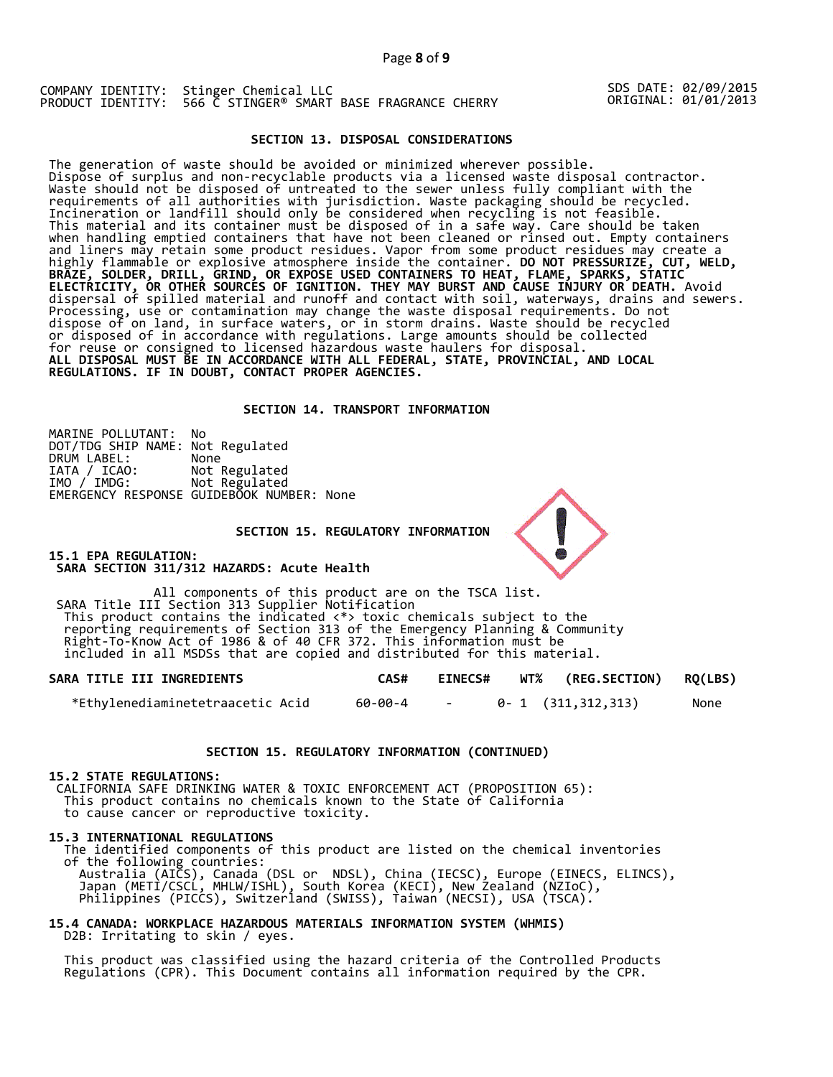SDS DATE: 02/09/2015 ORIGINAL: 01/01/2013

## **SECTION 13. DISPOSAL CONSIDERATIONS**

The generation of waste should be avoided or minimized wherever possible. Dispose of surplus and non-recyclable products via a licensed waste disposal contractor. Waste should not be disposed of untreated to the sewer unless fully compliant with the requirements of all authorities with jurisdiction. Waste packaging should be recycled. Incineration or landfill should only be considered when recycling is not feasible. This material and its container must be disposed of in a safe way. Care should be taken when handling emptied containers that have not been cleaned or rinsed out. Empty containers and liners may retain some product residues. Vapor from some product residues may create a highly flammable or explosive atmosphere inside the container. **DO NOT PRESSURIZE, CUT, WELD, BRAZE, SOLDER, DRILL, GRIND, OR EXPOSE USED CONTAINERS TO HEAT, FLAME, SPARKS, STATIC ELECTRICITY, OR OTHER SOURCES OF IGNITION. THEY MAY BURST AND CAUSE INJURY OR DEATH.** Avoid dispersal of spilled material and runoff and contact with soil, waterways, drains and sewers. Processing, use or contamination may change the waste disposal requirements. Do not dispose of on land, in surface waters, or in storm drains. Waste should be recycled or disposed of in accordance with regulations. Large amounts should be collected for reuse or consigned to licensed hazardous waste haulers for disposal. **ALL DISPOSAL MUST BE IN ACCORDANCE WITH ALL FEDERAL, STATE, PROVINCIAL, AND LOCAL REGULATIONS. IF IN DOUBT, CONTACT PROPER AGENCIES.** 

## **SECTION 14. TRANSPORT INFORMATION**

MARINE POLLUTANT: No DOT/TDG SHIP NAME: Not Regulated DRUM LABEL:<br>IATA / ICAO:<br>IMO / IMDG: Not Regulated Not Regulated EMERGENCY RESPONSE GUIDEBOOK NUMBER: None

 **SECTION 15. REGULATORY INFORMATION** 

**15.1 EPA REGULATION: SARA SECTION 311/312 HAZARDS: Acute Health** 

All components of this product are on the TSCA list. SARA Title III Section 313 Supplier Notification This product contains the indicated <\*> toxic chemicals subject to the reporting requirements of Section 313 of the Emergency Planning & Community Right-To-Know Act of 1986 & of 40 CFR 372. This information must be included in all MSDSs that are copied and distributed for this material.

| SARA TITLE III INGREDIENTS       | CAS#    | <b>EINECS#</b> | WT% (REG.SECTION) RQ(LBS) |      |
|----------------------------------|---------|----------------|---------------------------|------|
| *Ethvlenediaminetetraacetic Acid | 60-00-4 |                | 0-1 (311,312,313)         | None |

## **SECTION 15. REGULATORY INFORMATION (CONTINUED)**

#### **15.2 STATE REGULATIONS:**

 CALIFORNIA SAFE DRINKING WATER & TOXIC ENFORCEMENT ACT (PROPOSITION 65): This product contains no chemicals known to the State of California to cause cancer or reproductive toxicity.

#### **15.3 INTERNATIONAL REGULATIONS**

 The identified components of this product are listed on the chemical inventories of the following countries: Australia (AICS), Canada (DSL or NDSL), China (IECSC), Europe (EINECS, ELINCS), Japan (METI/CSCL, MHLW/ISHL), South Korea (KECI), New Zealand (NZIoC), Philippines (PICCS), Switzerland (SWISS), Taiwan (NECSI), USA (TSCA).

## **15.4 CANADA: WORKPLACE HAZARDOUS MATERIALS INFORMATION SYSTEM (WHMIS)**  D2B: Irritating to skin / eyes.

 This product was classified using the hazard criteria of the Controlled Products Regulations (CPR). This Document contains all information required by the CPR.